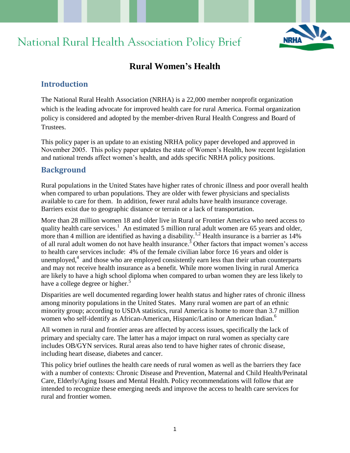# National Rural Health Association Policy Brief



# **Rural Women's Health**

# **Introduction**

The National Rural Health Association (NRHA) is a 22,000 member nonprofit organization which is the leading advocate for improved health care for rural America. Formal organization policy is considered and adopted by the member-driven Rural Health Congress and Board of **Trustees** 

This policy paper is an update to an existing NRHA policy paper developed and approved in November 2005. This policy paper updates the state of Women's Health, how recent legislation and national trends affect women's health, and adds specific NRHA policy positions.

## **Background**

Rural populations in the United States have higher rates of chronic illness and poor overall health when compared to urban populations. They are older with fewer physicians and specialists available to care for them. In addition, fewer rural adults have health insurance coverage. Barriers exist due to geographic distance or terrain or a lack of transportation.

More than 28 million women 18 and older live in Rural or Frontier America who need access to quality health care services.<sup>1</sup> An estimated 5 million rural adult women are 65 years and older, more than 4 million are identified as having a disability.<sup>1,2</sup> Health insurance is a barrier as  $14\%$ of all rural adult women do not have health insurance.<sup>3</sup> Other factors that impact women's access to health care services include: 4% of the female civilian labor force 16 years and older is unemployed, $4$  and those who are employed consistently earn less than their urban counterparts and may not receive health insurance as a benefit. While more women living in rural America are likely to have a high school diploma when compared to urban women they are less likely to have a college degree or higher.<sup>5</sup>

Disparities are well documented regarding lower health status and higher rates of chronic illness among minority populations in the United States. Many rural women are part of an ethnic minority group; according to USDA statistics, rural America is home to more than 3.7 million women who self-identify as African-American, Hispanic/Latino or American Indian.<sup>6</sup>

All women in rural and frontier areas are affected by access issues, specifically the lack of primary and specialty care. The latter has a major impact on rural women as specialty care includes OB/GYN services. Rural areas also tend to have higher rates of chronic disease, including heart disease, diabetes and cancer.

This policy brief outlines the health care needs of rural women as well as the barriers they face with a number of contexts: Chronic Disease and Prevention, Maternal and Child Health/Perinatal Care, Elderly/Aging Issues and Mental Health. Policy recommendations will follow that are intended to recognize these emerging needs and improve the access to health care services for rural and frontier women.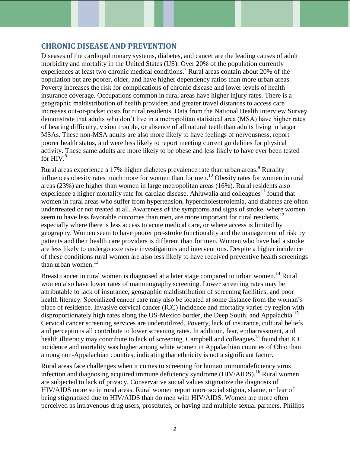## **CHRONIC DISEASE AND PREVENTION**

Diseases of the cardiopulmonary systems, diabetes, and cancer are the leading causes of adult morbidity and mortality in the United States (US). Over 20% of the population currently experiences at least two chronic medical conditions.<sup>7</sup> Rural areas contain about 20% of the population but are poorer, older, and have higher dependency ratios than more urban areas. Poverty increases the risk for complications of chronic disease and lower levels of health insurance coverage. Occupations common in rural areas have higher injury rates. There is a geographic maldistribution of health providers and greater travel distances to access care increases out-or-pocket costs for rural residents. Data from the National Health Interview Survey demonstrate that adults who don't live in a metropolitan statistical area (MSA) have higher rates of hearing difficulty, vision trouble, or absence of all natural teeth than adults living in larger MSAs. These non-MSA adults are also more likely to have feelings of nervousness, report poorer health status, and were less likely to report meeting current guidelines for physical activity. These same adults are more likely to be obese and less likely to have ever been tested for  $HIV.<sup>8</sup>$ 

Rural areas experience a 17% higher diabetes prevalence rate than urban areas.<sup>9</sup> Rurality influences obesity rates much more for women than for men.<sup>10</sup> Obesity rates for women in rural areas (23%) are higher than women in large metropolitan areas (16%). Rural residents also experience a higher mortality rate for cardiac disease. Ahluwalia and colleagues<sup>11</sup> found that women in rural areas who suffer from hypertension, hypercholesterolemia, and diabetes are often undertreated or not treated at all. Awareness of the symptoms and signs of stroke, where women seem to have less favorable outcomes than men, are more important for rural residents, $12$ especially where there is less access to acute medical care, or where access is limited by geography. Women seem to have poorer pre-stroke functionality and the management of risk by patients and their health care providers is different than for men. Women who have had a stroke are less likely to undergo extensive investigations and interventions. Despite a higher incidence of these conditions rural women are also less likely to have received preventive health screenings than urban women. $13$ 

Breast cancer in rural women is diagnosed at a later stage compared to urban women.<sup>14</sup> Rural women also have lower rates of mammography screening. Lower screening rates may be attributable to lack of insurance, geographic maldistribution of screening facilities, and poor health literacy. Specialized cancer care may also be located at some distance from the woman's place of residence. Invasive cervical cancer (ICC) incidence and mortality varies by region with disproportionately high rates along the US-Mexico border, the Deep South, and Appalachia.<sup>15</sup> Cervical cancer screening services are underutilized. Poverty, lack of insurance, cultural beliefs and perceptions all contribute to lower screening rates. In addition, fear, embarrassment, and health illiteracy may contribute to lack of screening. Campbell and colleagues<sup>15</sup> found that ICC incidence and mortality was higher among white women in Appalachian counties of Ohio than among non-Appalachian counties, indicating that ethnicity is not a significant factor.

Rural areas face challenges when it comes to screening for human immunodeficiency virus infection and diagnosing acquired immune deficiency syndrome  $(HIV/ALDS)$ .<sup>16</sup> Rural women are subjected to lack of privacy. Conservative social values stigmatize the diagnosis of HIV/AIDS more so in rural areas. Rural women report more social stigma, shame, or fear of being stigmatized due to HIV/AIDS than do men with HIV/AIDS. Women are more often perceived as intravenous drug users, prostitutes, or having had multiple sexual partners. Phillips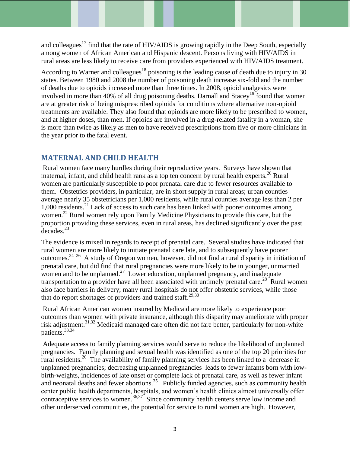and colleagues<sup>17</sup> find that the rate of HIV/AIDS is growing rapidly in the Deep South, especially among women of African American and Hispanic descent. Persons living with HIV/AIDS in rural areas are less likely to receive care from providers experienced with HIV/AIDS treatment.

According to Warner and colleagues<sup>18</sup> poisoning is the leading cause of death due to injury in 30 states. Between 1980 and 2008 the number of poisoning death increase six-fold and the number of deaths due to opioids increased more than three times. In 2008, opioid analgesics were involved in more than 40% of all drug poisoning deaths. Darnall and Stacey<sup>19</sup> found that women are at greater risk of being misprescribed opioids for conditions where alternative non-opioid treatments are available. They also found that opioids are more likely to be prescribed to women, and at higher doses, than men. If opioids are involved in a drug-related fatality in a woman, she is more than twice as likely as men to have received prescriptions from five or more clinicians in the year prior to the fatal event.

# **MATERNAL AND CHILD HEALTH**

Rural women face many hurdles during their reproductive years. Surveys have shown that maternal, infant, and child health rank as a top ten concern by rural health experts.<sup>20</sup> Rural women are particularly susceptible to poor prenatal care due to fewer resources available to them. Obstetrics providers, in particular, are in short supply in rural areas; urban counties average nearly 35 obstetricians per 1,000 residents, while rural counties average less than 2 per 1,000 residents.<sup>21</sup> Lack of access to such care has been linked with poorer outcomes among women. <sup>22</sup> Rural women rely upon Family Medicine Physicians to provide this care, but the proportion providing these services, even in rural areas, has declined significantly over the past decades.<sup>23</sup>

The evidence is mixed in regards to receipt of prenatal care. Several studies have indicated that rural women are more likely to initiate prenatal care late, and to subsequently have poorer outcomes.24–26 A study of Oregon women, however, did not find a rural disparity in initiation of prenatal care, but did find that rural pregnancies were more likely to be in younger, unmarried women and to be unplanned.<sup>27</sup> Lower education, unplanned pregnancy, and inadequate transportation to a provider have all been associated with untimely prenatal care.<sup>28</sup> Rural women also face barriers in delivery; many rural hospitals do not offer obstetric services, while those that do report shortages of providers and trained staff.<sup>29,30</sup>

Rural African American women insured by Medicaid are more likely to experience poor outcomes than women with private insurance, although this disparity may ameliorate with proper risk adjustment.<sup>31,32</sup> Medicaid managed care often did not fare better, particularly for non-white patients.33,34

Adequate access to family planning services would serve to reduce the likelihood of unplanned pregnancies. Family planning and sexual health was identified as one of the top 20 priorities for rural residents.<sup>20</sup> The availability of family planning services has been linked to a decrease in unplanned pregnancies; decreasing unplanned pregnancies leads to fewer infants born with lowbirth-weights, incidences of late onset or complete lack of prenatal care, as well as fewer infant and neonatal deaths and fewer abortions.<sup>35</sup> Publicly funded agencies, such as community health center public health departments, hospitals, and women's health clinics almost universally offer contraceptive services to women.<sup>36,37</sup> Since community health centers serve low income and other underserved communities, the potential for service to rural women are high. However,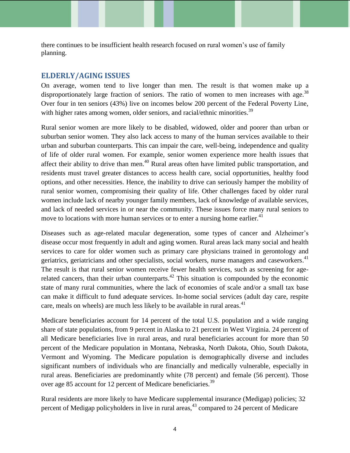there continues to be insufficient health research focused on rural women's use of family planning.

#### **ELDERLY/AGING ISSUES**

On average, women tend to live longer than men. The result is that women make up a disproportionately large fraction of seniors. The ratio of women to men increases with age.<sup>38</sup> Over four in ten seniors (43%) live on incomes below 200 percent of the Federal Poverty Line, with higher rates among women, older seniors, and racial/ethnic minorities.<sup>39</sup>

Rural senior women are more likely to be disabled, widowed, older and poorer than urban or suburban senior women. They also lack access to many of the human services available to their urban and suburban counterparts. This can impair the care, well-being, independence and quality of life of older rural women. For example, senior women experience more health issues that affect their ability to drive than men.<sup>40</sup> Rural areas often have limited public transportation, and residents must travel greater distances to access health care, social opportunities, healthy food options, and other necessities. Hence, the inability to drive can seriously hamper the mobility of rural senior women, compromising their quality of life. Other challenges faced by older rural women include lack of nearby younger family members, lack of knowledge of available services, and lack of needed services in or near the community. These issues force many rural seniors to move to locations with more human services or to enter a nursing home earlier.<sup>41</sup>

Diseases such as age-related macular degeneration, some types of cancer and Alzheimer's disease occur most frequently in adult and aging women. Rural areas lack many social and health services to care for older women such as primary care physicians trained in gerontology and geriatrics, geriatricians and other specialists, social workers, nurse managers and caseworkers.<sup>41</sup> The result is that rural senior women receive fewer health services, such as screening for agerelated cancers, than their urban counterparts. $42$  This situation is compounded by the economic state of many rural communities, where the lack of economies of scale and/or a small tax base can make it difficult to fund adequate services. In-home social services (adult day care, respite care, meals on wheels) are much less likely to be available in rural areas.<sup>41</sup>

Medicare beneficiaries account for 14 percent of the total U.S. population and a wide ranging share of state populations, from 9 percent in Alaska to 21 percent in West Virginia. 24 percent of all Medicare beneficiaries live in rural areas, and rural beneficiaries account for more than 50 percent of the Medicare population in Montana, Nebraska, North Dakota, Ohio, South Dakota, Vermont and Wyoming. The Medicare population is demographically diverse and includes significant numbers of individuals who are financially and medically vulnerable, especially in rural areas. Beneficiaries are predominantly white (78 percent) and female (56 percent). Those over age 85 account for 12 percent of Medicare beneficiaries.<sup>39</sup>

Rural residents are more likely to have Medicare supplemental insurance (Medigap) policies; 32 percent of Medigap policyholders in live in rural areas,  $43$  compared to 24 percent of Medicare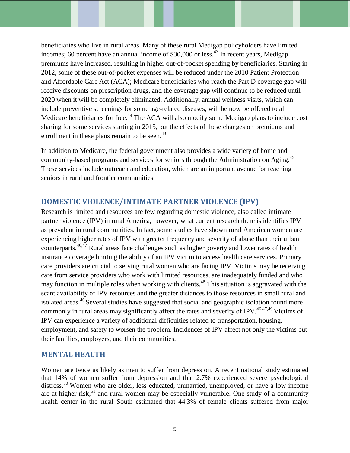beneficiaries who live in rural areas. Many of these rural Medigap policyholders have limited incomes; 60 percent have an annual income of  $$30,000$  or less.<sup>43</sup> In recent years, Medigap premiums have increased, resulting in higher out-of-pocket spending by beneficiaries. Starting in 2012, some of these out-of-pocket expenses will be reduced under the 2010 Patient Protection and Affordable Care Act (ACA); Medicare beneficiaries who reach the Part D coverage gap will receive discounts on prescription drugs, and the coverage gap will continue to be reduced until 2020 when it will be completely eliminated. Additionally, annual wellness visits, which can include preventive screenings for some age-related diseases, will be now be offered to all Medicare beneficiaries for free.<sup>44</sup> The ACA will also modify some Medigap plans to include cost sharing for some services starting in 2015, but the effects of these changes on premiums and enrollment in these plans remain to be seen.<sup>43</sup>

In addition to Medicare, the federal government also provides a wide variety of home and community-based programs and services for seniors through the Administration on Aging.<sup>45</sup> These services include outreach and education, which are an important avenue for reaching seniors in rural and frontier communities.

## **DOMESTIC VIOLENCE/INTIMATE PARTNER VIOLENCE (IPV)**

Research is limited and resources are few regarding domestic violence, also called intimate partner violence (IPV) in rural America; however, what current research there is identifies IPV as prevalent in rural communities. In fact, some studies have shown rural American women are experiencing higher rates of IPV with greater frequency and severity of abuse than their urban counterparts.46,47 Rural areas face challenges such as higher poverty and lower rates of health insurance coverage limiting the ability of an IPV victim to access health care services. Primary care providers are crucial to serving rural women who are facing IPV. Victims may be receiving care from service providers who work with limited resources, are inadequately funded and who may function in multiple roles when working with clients.<sup>48</sup> This situation is aggravated with the scant availability of IPV resources and the greater distances to those resources in small rural and isolated areas.<sup>46</sup> Several studies have suggested that social and geographic isolation found more commonly in rural areas may significantly affect the rates and severity of IPV.<sup>46,47,49</sup> Victims of IPV can experience a variety of additional difficulties related to transportation, housing, employment, and safety to worsen the problem. Incidences of IPV affect not only the victims but their families, employers, and their communities.

#### **MENTAL HEALTH**

Women are twice as likely as men to suffer from depression. A recent national study estimated that 14% of women suffer from depression and that 2.7% experienced severe psychological distress.<sup>50</sup> Women who are older, less educated, unmarried, unemployed, or have a low income are at higher risk,<sup>51</sup> and rural women may be especially vulnerable. One study of a community health center in the rural South estimated that 44.3% of female clients suffered from major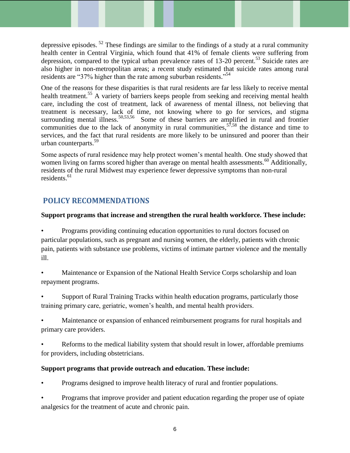depressive episodes.<sup>52</sup> These findings are similar to the findings of a study at a rural community health center in Central Virginia, which found that 41% of female clients were suffering from depression, compared to the typical urban prevalence rates of 13-20 percent.<sup>53</sup> Suicide rates are also higher in non-metropolitan areas; a recent study estimated that suicide rates among rural residents are "37% higher than the rate among suburban residents."<sup>54</sup>

One of the reasons for these disparities is that rural residents are far less likely to receive mental health treatment.<sup>55</sup> A variety of barriers keeps people from seeking and receiving mental health care, including the cost of treatment, lack of awareness of mental illness, not believing that treatment is necessary, lack of time, not knowing where to go for services, and stigma surrounding mental illness.<sup>50,53,56</sup> Some of these barriers are amplified in rural and frontier communities due to the lack of anonymity in rural communities,  $57,58$  the distance and time to services, and the fact that rural residents are more likely to be uninsured and poorer than their urban counterparts. 59

Some aspects of rural residence may help protect women's mental health. One study showed that women living on farms scored higher than average on mental health assessments.<sup>60</sup> Additionally, residents of the rural Midwest may experience fewer depressive symptoms than non-rural residents. 61

# **POLICY RECOMMENDATIONS**

#### **Support programs that increase and strengthen the rural health workforce. These include:**

• Programs providing continuing education opportunities to rural doctors focused on particular populations, such as pregnant and nursing women, the elderly, patients with chronic pain, patients with substance use problems, victims of intimate partner violence and the mentally ill.

• Maintenance or Expansion of the National Health Service Corps scholarship and loan repayment programs.

• Support of Rural Training Tracks within health education programs, particularly those training primary care, geriatric, women's health, and mental health providers.

• Maintenance or expansion of enhanced reimbursement programs for rural hospitals and primary care providers.

• Reforms to the medical liability system that should result in lower, affordable premiums for providers, including obstetricians.

## **Support programs that provide outreach and education. These include:**

• Programs designed to improve health literacy of rural and frontier populations.

• Programs that improve provider and patient education regarding the proper use of opiate analgesics for the treatment of acute and chronic pain.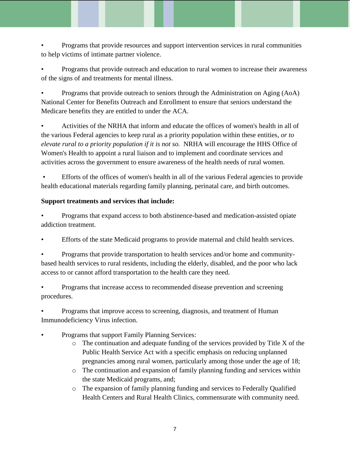• Programs that provide resources and support intervention services in rural communities to help victims of intimate partner violence.

• Programs that provide outreach and education to rural women to increase their awareness of the signs of and treatments for mental illness.

• Programs that provide outreach to seniors through the Administration on Aging (AoA) National Center for Benefits Outreach and Enrollment to ensure that seniors understand the Medicare benefits they are entitled to under the ACA.

• Activities of the NRHA that inform and educate the offices of women's health in all of the various Federal agencies to keep rural as a priority population within these entities*, or to elevate rural to a priority population if it is not so.* NRHA will encourage the HHS Office of Women's Health to appoint a rural liaison and to implement and coordinate services and activities across the government to ensure awareness of the health needs of rural women.

• Efforts of the offices of women's health in all of the various Federal agencies to provide health educational materials regarding family planning, perinatal care, and birth outcomes.

## **Support treatments and services that include:**

• Programs that expand access to both abstinence-based and medication-assisted opiate addiction treatment.

• Efforts of the state Medicaid programs to provide maternal and child health services.

• Programs that provide transportation to health services and/or home and communitybased health services to rural residents, including the elderly, disabled, and the poor who lack access to or cannot afford transportation to the health care they need.

• Programs that increase access to recommended disease prevention and screening procedures.

• Programs that improve access to screening, diagnosis, and treatment of Human Immunodeficiency Virus infection.

- Programs that support Family Planning Services:
	- o The continuation and adequate funding of the services provided by Title X of the Public Health Service Act with a specific emphasis on reducing unplanned pregnancies among rural women, particularly among those under the age of 18;
	- o The continuation and expansion of family planning funding and services within the state Medicaid programs, and;
	- o The expansion of family planning funding and services to Federally Qualified Health Centers and Rural Health Clinics, commensurate with community need.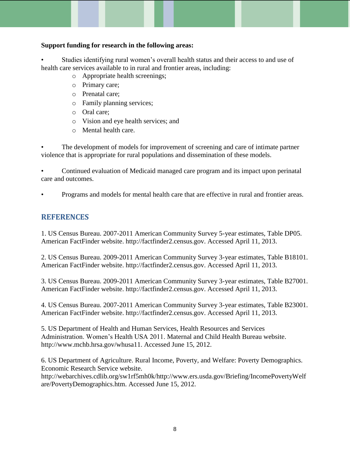#### **Support funding for research in the following areas:**

Studies identifying rural women's overall health status and their access to and use of health care services available to in rural and frontier areas, including:

- o Appropriate health screenings;
- o Primary care;
- o Prenatal care;
- o Family planning services;
- o Oral care;
- o Vision and eye health services; and
- o Mental health care.

The development of models for improvement of screening and care of intimate partner violence that is appropriate for rural populations and dissemination of these models.

• Continued evaluation of Medicaid managed care program and its impact upon perinatal care and outcomes.

• Programs and models for mental health care that are effective in rural and frontier areas.

# **REFERENCES**

1. US Census Bureau. 2007-2011 American Community Survey 5-year estimates, Table DP05. American FactFinder website. http://factfinder2.census.gov. Accessed April 11, 2013.

2. US Census Bureau. 2009-2011 American Community Survey 3-year estimates, Table B18101. American FactFinder website. http://factfinder2.census.gov. Accessed April 11, 2013.

3. US Census Bureau. 2009-2011 American Community Survey 3-year estimates, Table B27001. American FactFinder website. http://factfinder2.census.gov. Accessed April 11, 2013.

4. US Census Bureau. 2007-2011 American Community Survey 3-year estimates, Table B23001. American FactFinder website. http://factfinder2.census.gov. Accessed April 11, 2013.

5. US Department of Health and Human Services, Health Resources and Services Administration. Women's Health USA 2011. Maternal and Child Health Bureau website. http://www.mchb.hrsa.gov/whusa11. Accessed June 15, 2012.

6. US Department of Agriculture. Rural Income, Poverty, and Welfare: Poverty Demographics. Economic Research Service website.

http://webarchives.cdlib.org/sw1rf5mh0k/http://www.ers.usda.gov/Briefing/IncomePovertyWelf are/PovertyDemographics.htm. Accessed June 15, 2012.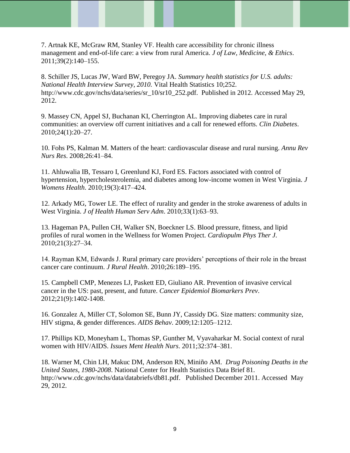7. Artnak KE, McGraw RM, Stanley VF. Health care accessibility for chronic illness management and end-of-life care: a view from rural America. *J of Law, Medicine, & Ethics*. 2011;39(2):140–155.

8. Schiller JS, Lucas JW, Ward BW, Peregoy JA. *Summary health statistics for U.S. adults: National Health Interview Survey, 2010.* Vital Health Statistics 10;252. http://www.cdc.gov/nchs/data/series/sr\_10/sr10\_252.pdf. Published in 2012. Accessed May 29, 2012.

9. Massey CN, Appel SJ, Buchanan KI, Cherrington AL. Improving diabetes care in rural communities: an overview off current initiatives and a call for renewed efforts. *Clin Diabetes*. 2010;24(1):20–27.

10. Fohs PS, Kalman M. Matters of the heart: cardiovascular disease and rural nursing. *Annu Rev Nurs Res*. 2008;26:41–84.

11. Ahluwalia IB, Tessaro I, Greenlund KJ, Ford ES. Factors associated with control of hypertension, hypercholesterolemia, and diabetes among low-income women in West Virginia. *J Womens Health*. 2010;19(3):417–424.

12. Arkady MG, Tower LE. The effect of rurality and gender in the stroke awareness of adults in West Virginia. *J of Health Human Serv Adm*. 2010;33(1):63–93.

13. Hageman PA, Pullen CH, Walker SN, Boeckner LS. Blood pressure, fitness, and lipid profiles of rural women in the Wellness for Women Project. *Cardiopulm Phys Ther J*. 2010;21(3):27–34.

14. Rayman KM, Edwards J. Rural primary care providers' perceptions of their role in the breast cancer care continuum. *J Rural Health*. 2010;26:189–195.

15. Campbell CMP, Menezes LJ, Paskett ED, Giuliano AR. Prevention of invasive cervical cancer in the US: past, present, and future. *Cancer Epidemiol Biomarkers Prev*. 2012;21(9):1402-1408.

16. Gonzalez A, Miller CT, Solomon SE, Bunn JY, Cassidy DG. Size matters: community size, HIV stigma, & gender differences. *AIDS Behav*. 2009;12:1205–1212.

17. Phillips KD, Moneyham L, Thomas SP, Gunther M, Vyavaharkar M. Social context of rural women with HIV/AIDS. *Issues Ment Health Nurs*. 2011;32:374–381.

18. Warner M, Chin LH, Makuc DM, Anderson RN, Miniño AM. *Drug Poisoning Deaths in the United States, 1980-2008*. National Center for Health Statistics Data Brief 81. http://www.cdc.gov/nchs/data/databriefs/db81.pdf. Published December 2011. Accessed May 29, 2012.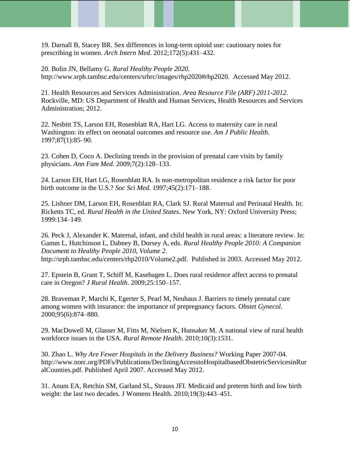19. Darnall B, Stacey BR. Sex differences in long-term opioid use: cautionary notes for prescribing in women. *Arch Intern Med*. 2012;172(5):431–432.

20. Bolin JN, Bellamy G. *Rural Healthy People 2020*. http://www.srph.tamhsc.edu/centers/srhrc/images/rhp2020#rhp2020. Accessed May 2012.

21. Health Resources and Services Administration. *Area Resource File (ARF) 2011-2012*. Rockville, MD: US Department of Health and Human Services, Health Resources and Services Administration; 2012.

22. Nesbitt TS, Larson EH, Rosenblatt RA, Hart LG. Access to maternity care in rural Washington: its effect on neonatal outcomes and resource use. *Am J Public Health*. 1997;87(1):85–90.

23. Cohen D, Coco A. Declining trends in the provision of prenatal care visits by family physicians. *Ann Fam Med.* 2009;7(2):128–133.

24. Larson EH, Hart LG, Rosenblatt RA. Is non-metropolitan residence a risk factor for poor birth outcome in the U.S.? *Soc Sci Med*. 1997;45(2):171–188.

25. Lishner DM, Larson EH, Rosenblatt RA, Clark SJ. Rural Maternal and Perinatal Health. In: Ricketts TC, ed. *Rural Health in the United States*. New York, NY: Oxford University Press; 1999:134–149.

26. Peck J, Alexander K. Maternal, infant, and child health in rural areas: a literature review. In: Gamm L, Hutchinson L, Dabney B, Dorsey A, eds. *Rural Healthy People 2010: A Companion Document to Healthy People 2010, Volume 2*. http://srph.tamhsc.edu/centers/rhp2010/Volume2.pdf. Published in 2003. Accessed May 2012.

27. Epstein B, Grant T, Schiff M, Kasehagen L. Does rural residence affect access to prenatal care in Oregon? *J Rural Health*. 2009;25:150–157.

28. Braveman P, Marchi K, Egerter S, Pearl M, Neuhaus J. Barriers to timely prenatal care among women with insurance: the importance of prepregnancy factors. *Obstet Gynecol*. 2000;95(6):874–880.

29. MacDowell M, Glasser M, Fitts M, Nielsen K, Hunsaker M. A national view of rural health workforce issues in the USA. *Rural Remote Health*. 2010;10(3):1531.

30. Zhao L. *Why Are Fewer Hospitals in the Delivery Business?* Working Paper 2007-04. http://www.norc.org/PDFs/Publications/DecliningAccesstoHospitalbasedObstetricServicesinRur alCounties.pdf. Published April 2007. Accessed May 2012.

31. Anum EA, Retchin SM, Garland SL, Strauss JFI. Medicaid and preterm birth and low birth weight: the last two decades. J Womens Health. 2010;19(3):443–451.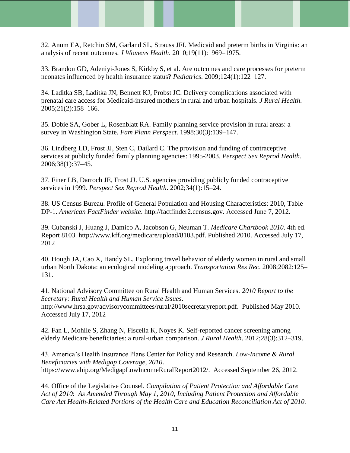32. Anum EA, Retchin SM, Garland SL, Strauss JFI. Medicaid and preterm births in Virginia: an analysis of recent outcomes. *J Womens Health*. 2010;19(11):1969–1975.

33. Brandon GD, Adeniyi-Jones S, Kirkby S, et al. Are outcomes and care processes for preterm neonates influenced by health insurance status? *Pediatrics*. 2009;124(1):122–127.

34. Laditka SB, Laditka JN, Bennett KJ, Probst JC. Delivery complications associated with prenatal care access for Medicaid-insured mothers in rural and urban hospitals. *J Rural Health*. 2005;21(2):158–166.

35. Dobie SA, Gober L, Rosenblatt RA. Family planning service provision in rural areas: a survey in Washington State. *Fam Plann Perspect*. 1998;30(3):139–147.

36. Lindberg LD, Frost JJ, Sten C, Dailard C. The provision and funding of contraceptive services at publicly funded family planning agencies: 1995-2003. *Perspect Sex Reprod Health*. 2006;38(1):37–45.

37. Finer LB, Darroch JE, Frost JJ. U.S. agencies providing publicly funded contraceptive services in 1999. *Perspect Sex Reprod Health*. 2002;34(1):15–24.

38. US Census Bureau. Profile of General Population and Housing Characteristics: 2010, Table DP-1. *American FactFinder website*. http://factfinder2.census.gov. Accessed June 7, 2012.

39. Cubanski J, Huang J, Damico A, Jacobson G, Neuman T. *Medicare Chartbook 2010*. 4th ed. Report 8103. http://www.kff.org/medicare/upload/8103.pdf. Published 2010. Accessed July 17, 2012

40. Hough JA, Cao X, Handy SL. Exploring travel behavior of elderly women in rural and small urban North Dakota: an ecological modeling approach. *Transportation Res Rec*. 2008;2082:125– 131.

41. National Advisory Committee on Rural Health and Human Services. *2010 Report to the Secretary: Rural Health and Human Service Issues*. http://www.hrsa.gov/advisorycommittees/rural/2010secretaryreport.pdf. Published May 2010. Accessed July 17, 2012

42. Fan L, Mohile S, Zhang N, Fiscella K, Noyes K. Self-reported cancer screening among elderly Medicare beneficiaries: a rural-urban comparison. *J Rural Health*. 2012;28(3):312–319.

43. America's Health Insurance Plans Center for Policy and Research. *Low-Income & Rural Beneficiaries with Medigap Coverage, 2010*. https://www.ahip.org/MedigapLowIncomeRuralReport2012/. Accessed September 26, 2012.

44. Office of the Legislative Counsel. *Compilation of Patient Protection and Affordable Care Act of 2010*: *As Amended Through May 1, 2010, Including Patient Protection and Affordable Care Act Health-Related Portions of the Health Care and Education Reconciliation Act of 2010.*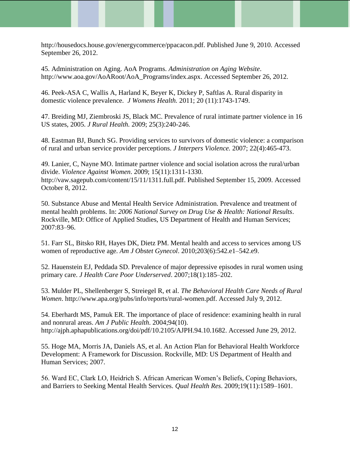http://housedocs.house.gov/energycommerce/ppacacon.pdf. Published June 9, 2010. Accessed September 26, 2012.

45. Administration on Aging. AoA Programs. *Administration on Aging Website*. http://www.aoa.gov/AoARoot/AoA\_Programs/index.aspx. Accessed September 26, 2012.

46. Peek-ASA C, Wallis A, Harland K, Beyer K, Dickey P, Saftlas A. Rural disparity in domestic violence prevalence. *J Womens Health.* 2011; 20 (11):1743-1749.

47. Breiding MJ, Ziembroski JS, Black MC. Prevalence of rural intimate partner violence in 16 US states, 2005. *J Rural Health.* 2009; 25(3):240-246.

48. Eastman BJ, Bunch SG. Providing services to survivors of domestic violence: a comparison of rural and urban service provider perceptions. *J Interpers Violence.* 2007; 22(4):465-473.

49. Lanier, C, Nayne MO. Intimate partner violence and social isolation across the rural/urban divide. *Violence Against Women*. 2009; 15(11):1311-1330. http://vaw.sagepub.com/content/15/11/1311.full.pdf. Published September 15, 2009. Accessed October 8, 2012.

50. Substance Abuse and Mental Health Service Administration. Prevalence and treatment of mental health problems. In: *2006 National Survey on Drug Use & Health: National Results*. Rockville, MD: Office of Applied Studies, US Department of Health and Human Services; 2007:83–96.

51. Farr SL, Bitsko RH, Hayes DK, Dietz PM. Mental health and access to services among US women of reproductive age. *Am J Obstet Gynecol*. 2010;203(6):542.e1–542.e9.

52. Hauenstein EJ, Peddada SD. Prevalence of major depressive episodes in rural women using primary care. *J Health Care Poor Underserved*. 2007;18(1):185–202.

53. Mulder PL, Shellenberger S, Streiegel R, et al. *The Behavioral Health Care Needs of Rural Women*. http://www.apa.org/pubs/info/reports/rural-women.pdf. Accessed July 9, 2012.

54. Eberhardt MS, Pamuk ER. The importance of place of residence: examining health in rural and nonrural areas. *Am J Public Health*. 2004;94(10). http://ajph.aphapublications.org/doi/pdf/10.2105/AJPH.94.10.1682. Accessed June 29, 2012.

55. Hoge MA, Morris JA, Daniels AS, et al. An Action Plan for Behavioral Health Workforce Development: A Framework for Discussion. Rockville, MD: US Department of Health and Human Services; 2007.

56. Ward EC, Clark LO, Heidrich S. African American Women's Beliefs, Coping Behaviors, and Barriers to Seeking Mental Health Services. *Qual Health Res*. 2009;19(11):1589–1601.